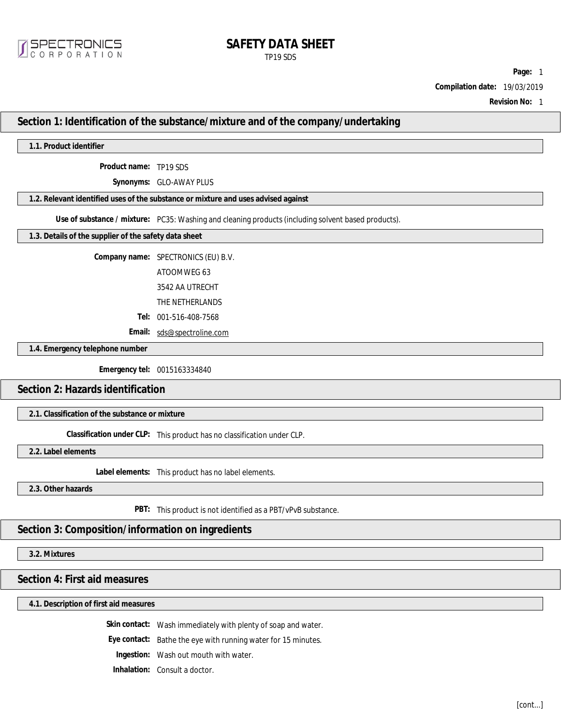

# **SAFETY DATA SHEET** TP19 SDS

**Page:** 1

**Compilation date:** 19/03/2019

**Revision No:** 1

### **Section 1: Identification of the substance/mixture and of the company/undertaking**

**1.1. Product identifier**

**Product name:** TP19 SDS

**Synonyms:** GLO-AWAY PLUS

**1.2. Relevant identified uses of the substance or mixture and uses advised against**

**Use of substance / mixture:** PC35: Washing and cleaning products (including solvent based products).

**1.3. Details of the supplier of the safety data sheet**

**Company name:** SPECTRONICS (EU) B.V.

ATOOMWEG 63

3542 AA UTRECHT

THE NETHERLANDS

**Tel:** 001-516-408-7568

**Email:** [sds@spectroline.com](mailto:sds@spectroline.com)

**1.4. Emergency telephone number**

**Emergency tel:** 0015163334840

### **Section 2: Hazards identification**

**2.1. Classification of the substance or mixture**

**Classification under CLP:** This product has no classification under CLP.

**2.2. Label elements**

**Label elements:** This product has no label elements.

**2.3. Other hazards**

**PBT:** This product is not identified as a PBT/vPvB substance.

**Section 3: Composition/information on ingredients**

**3.2. Mixtures**

## **Section 4: First aid measures**

**4.1. Description of first aid measures**

**Skin contact:** Wash immediately with plenty of soap and water.

**Eye contact:** Bathe the eye with running water for 15 minutes.

**Ingestion:** Wash out mouth with water.

**Inhalation:** Consult a doctor.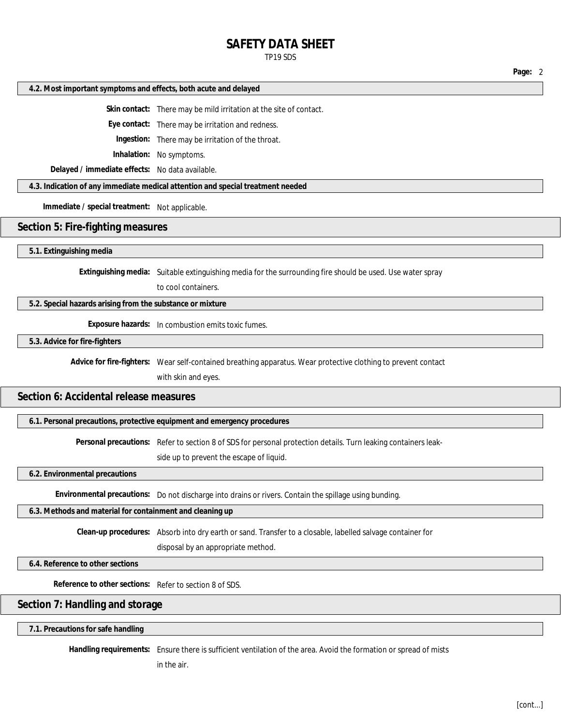# **SAFETY DATA SHEET**

TP19 SDS

|  |  |  | 4.2. Most important symptoms and effects, both acute and delayed |  |
|--|--|--|------------------------------------------------------------------|--|
|--|--|--|------------------------------------------------------------------|--|

**Skin contact:** There may be mild irritation at the site of contact.

**Eye contact:** There may be irritation and redness.

**Ingestion:** There may be irritation of the throat.

**Inhalation:** No symptoms.

**Delayed / immediate effects:** No data available.

**4.3. Indication of any immediate medical attention and special treatment needed**

**Immediate / special treatment:** Not applicable.

### **Section 5: Fire-fighting measures**

#### **5.1. Extinguishing media**

**Extinguishing media:** Suitable extinguishing media for the surrounding fire should be used. Use water spray

to cool containers.

**5.2. Special hazards arising from the substance or mixture**

**Exposure hazards:** In combustion emits toxic fumes.

**5.3. Advice for fire-fighters**

**Advice for fire-fighters:** Wear self-contained breathing apparatus. Wear protective clothing to prevent contact

with skin and eyes.

## **Section 6: Accidental release measures**

**6.1. Personal precautions, protective equipment and emergency procedures**

**Personal precautions:** Refer to section 8 of SDS for personal protection details. Turn leaking containers leak-

side up to prevent the escape of liquid.

**6.2. Environmental precautions**

**Environmental precautions:** Do not discharge into drains or rivers. Contain the spillage using bunding.

**6.3. Methods and material for containment and cleaning up**

**Clean-up procedures:** Absorb into dry earth or sand. Transfer to a closable, labelled salvage container for

disposal by an appropriate method.

**6.4. Reference to other sections**

**Reference to other sections:** Refer to section 8 of SDS.

# **Section 7: Handling and storage**

**7.1. Precautions for safe handling**

**Handling requirements:** Ensure there is sufficient ventilation of the area. Avoid the formation or spread of mists

in the air.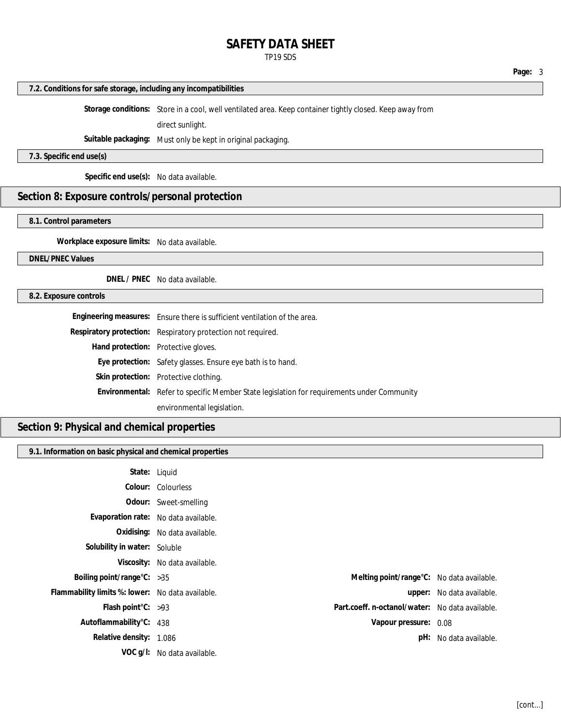# **SAFETY DATA SHEET**

TP19 SDS

### **7.2. Conditions for safe storage, including any incompatibilities**

**Storage conditions:** Store in a cool, well ventilated area. Keep container tightly closed. Keep away from

direct sunlight.

**Suitable packaging:** Must only be kept in original packaging.

**7.3. Specific end use(s)**

**Specific end use(s):** No data available.

# **Section 8: Exposure controls/personal protection**

**8.1. Control parameters**

**Workplace exposure limits:** No data available.

### **DNEL/PNEC Values**

**DNEL / PNEC** No data available.

### **8.2. Exposure controls**

| Engineering measures: Ensure there is sufficient ventilation of the area.                  |
|--------------------------------------------------------------------------------------------|
| Respiratory protection: Respiratory protection not required.                               |
| Hand protection: Protective gloves.                                                        |
| Eye protection: Safety glasses. Ensure eye bath is to hand.                                |
| Skin protection: Protective clothing.                                                      |
| Environmental: Refer to specific Member State legislation for requirements under Community |
| environmental legislation.                                                                 |

# **Section 9: Physical and chemical properties**

#### **9.1. Information on basic physical and chemical properties**

| State: Liquid                                    |                               |                                                 |                           |
|--------------------------------------------------|-------------------------------|-------------------------------------------------|---------------------------|
|                                                  | Colour: Colourless            |                                                 |                           |
|                                                  | Odour: Sweet-smelling         |                                                 |                           |
| Evaporation rate: No data available.             |                               |                                                 |                           |
|                                                  | Oxidising: No data available. |                                                 |                           |
| Solubility in water: Soluble                     |                               |                                                 |                           |
|                                                  | Viscosity: No data available. |                                                 |                           |
| Boiling point/range $C: >35$                     |                               | Melting point/range°C: No data available.       |                           |
| Flammability limits %: lower: No data available. |                               |                                                 | upper: No data available. |
| Flash point $C: >93$                             |                               | Part.coeff. n-octanol/water: No data available. |                           |
| Autoflammability°C: 438                          |                               | Vapour pressure: 0.08                           |                           |
| Relative density: 1.086                          |                               |                                                 | pH: No data available.    |
|                                                  | VOC g/l: No data available.   |                                                 |                           |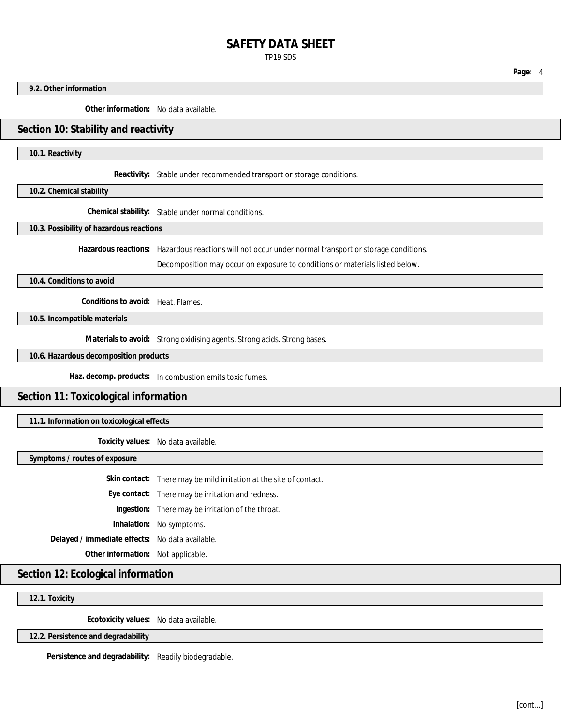# **SAFETY DATA SHEET** TP19 SDS

**9.2. Other information**

**Other information:** No data available.

### **Section 10: Stability and reactivity**

**10.1. Reactivity**

**Reactivity:** Stable under recommended transport or storage conditions.

**10.2. Chemical stability**

**Chemical stability:** Stable under normal conditions.

**10.3. Possibility of hazardous reactions**

**Hazardous reactions:** Hazardous reactions will not occur under normal transport or storage conditions.

Decomposition may occur on exposure to conditions or materials listed below.

**10.4. Conditions to avoid**

**Conditions to avoid:** Heat. Flames.

**10.5. Incompatible materials**

**Materials to avoid:** Strong oxidising agents. Strong acids. Strong bases.

**10.6. Hazardous decomposition products**

**Haz. decomp. products:** In combustion emits toxic fumes.

**Section 11: Toxicological information**

**11.1. Information on toxicological effects**

**Toxicity values:** No data available.

**Symptoms / routes of exposure**

**Skin contact:** There may be mild irritation at the site of contact. **Eye contact:** There may be irritation and redness. **Ingestion:** There may be irritation of the throat. **Inhalation:** No symptoms. **Delayed / immediate effects:** No data available. **Other information:** Not applicable.

**Section 12: Ecological information**

**12.1. Toxicity**

**Ecotoxicity values:** No data available.

**12.2. Persistence and degradability**

**Persistence and degradability:** Readily biodegradable.